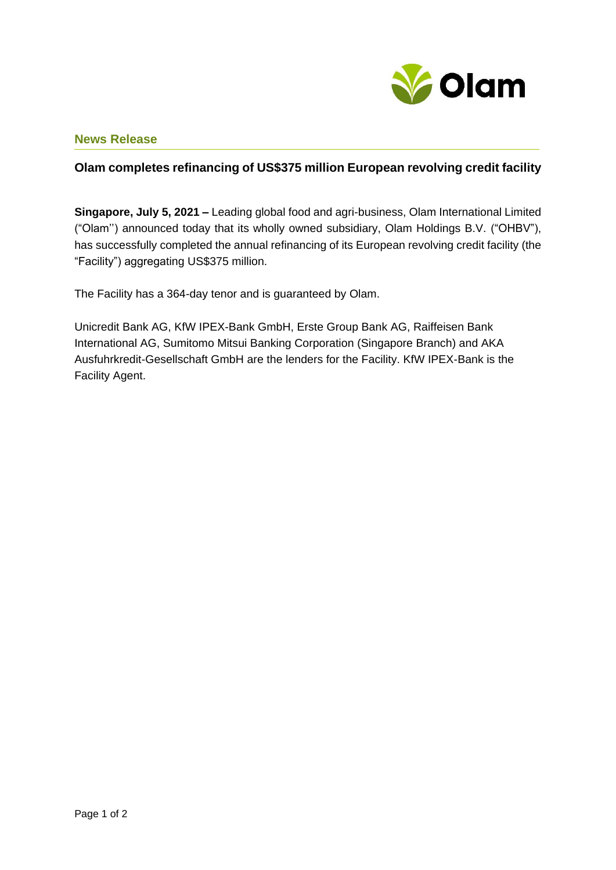

## **News Release**

## **Olam completes refinancing of US\$375 million European revolving credit facility**

**Singapore, July 5, 2021 –** Leading global food and agri-business, Olam International Limited ("Olam'') announced today that its wholly owned subsidiary, Olam Holdings B.V. ("OHBV"), has successfully completed the annual refinancing of its European revolving credit facility (the "Facility") aggregating US\$375 million.

The Facility has a 364-day tenor and is guaranteed by Olam.

Unicredit Bank AG, KfW IPEX-Bank GmbH, Erste Group Bank AG, Raiffeisen Bank International AG, Sumitomo Mitsui Banking Corporation (Singapore Branch) and AKA Ausfuhrkredit-Gesellschaft GmbH are the lenders for the Facility. KfW IPEX-Bank is the Facility Agent.